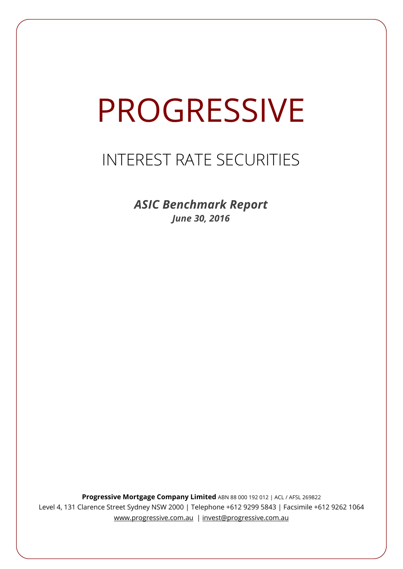# PROGRESSIVE

# INTEREST RATE SECURITIES

*ASIC Benchmark Report June 30, 2016*

**Progressive Mortgage Company Limited** ABN 88 000 192 012 | ACL / AFSL 269822 Level 4, 131 Clarence Street Sydney NSW 2000 | Telephone +612 9299 5843 | Facsimile +612 9262 1064 www.progressive.com.au | invest@progressive.com.au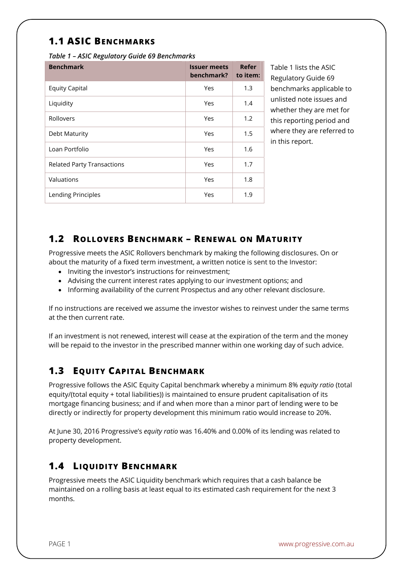## **1.1 ASIC BENCHMARKS**

*Table 1 – ASIC Regulatory Guide 69 Benchmarks* 

| <b>Benchmark</b>                  | <b>Issuer meets</b><br>benchmark? | Refer<br>to item: |
|-----------------------------------|-----------------------------------|-------------------|
| <b>Equity Capital</b>             | Yes                               | 1.3               |
| Liquidity                         | Yes                               | 1.4               |
| Rollovers                         | Yes                               | 1.2               |
| Debt Maturity                     | Yes                               | 1.5               |
| Loan Portfolio                    | Yes                               | 1.6               |
| <b>Related Party Transactions</b> | Yes                               | 1.7               |
| Valuations                        | Yes                               | 1.8               |
| Lending Principles                | Yes                               | 1.9               |

Table 1 lists the ASIC Regulatory Guide 69 benchmarks applicable to unlisted note issues and whether they are met for this reporting period and where they are referred to in this report.

#### **1.2 ROLLOVERS BENCHMARK – RENEWAL ON MATURITY**

Progressive meets the ASIC Rollovers benchmark by making the following disclosures. On or about the maturity of a fixed term investment, a written notice is sent to the Investor:

- Inviting the investor's instructions for reinvestment;
- Advising the current interest rates applying to our investment options; and
- Informing availability of the current Prospectus and any other relevant disclosure.

If no instructions are received we assume the investor wishes to reinvest under the same terms at the then current rate.

If an investment is not renewed, interest will cease at the expiration of the term and the money will be repaid to the investor in the prescribed manner within one working day of such advice.

### **1.3 EQUITY CAPITAL BENCHMARK**

Progressive follows the ASIC Equity Capital benchmark whereby a minimum 8% *equity ratio* (total equity/(total equity + total liabilities)) is maintained to ensure prudent capitalisation of its mortgage financing business; and if and when more than a minor part of lending were to be directly or indirectly for property development this minimum ratio would increase to 20%.

At June 30, 2016 Progressive's *equity ratio* was 16.40% and 0.00% of its lending was related to property development.

#### **1.4 LIQUIDITY BENCHMARK**

Progressive meets the ASIC Liquidity benchmark which requires that a cash balance be maintained on a rolling basis at least equal to its estimated cash requirement for the next 3 months.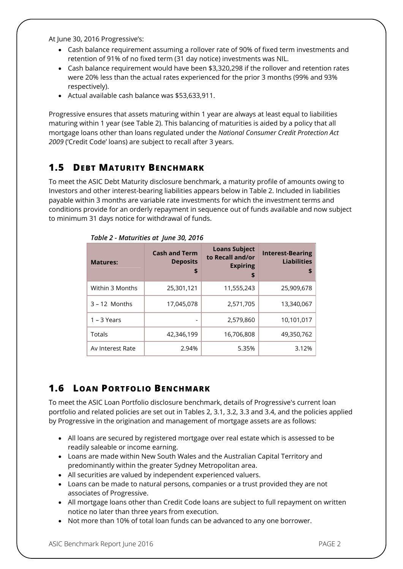At June 30, 2016 Progressive's:

- Cash balance requirement assuming a rollover rate of 90% of fixed term investments and retention of 91% of no fixed term (31 day notice) investments was NIL.
- Cash balance requirement would have been \$3,320,298 if the rollover and retention rates were 20% less than the actual rates experienced for the prior 3 months (99% and 93% respectively).
- Actual available cash balance was \$53,633,911.

Progressive ensures that assets maturing within 1 year are always at least equal to liabilities maturing within 1 year (see Table 2). This balancing of maturities is aided by a policy that all mortgage loans other than loans regulated under the *National Consumer Credit Protection Act 2009* ('Credit Code' loans) are subject to recall after 3 years.

#### **1.5 DEBT MATURITY BENCHMARK**

To meet the ASIC Debt Maturity disclosure benchmark, a maturity profile of amounts owing to Investors and other interest-bearing liabilities appears below in Table 2. Included in liabilities payable within 3 months are variable rate investments for which the investment terms and conditions provide for an orderly repayment in sequence out of funds available and now subject to minimum 31 days notice for withdrawal of funds.

| <b>Matures:</b>  | <b>Cash and Term</b><br><b>Deposits</b><br>\$ | <b>Loans Subject</b><br>to Recall and/or<br><b>Expiring</b><br>\$ | <b>Interest-Bearing</b><br><b>Liabilities</b><br>\$ |
|------------------|-----------------------------------------------|-------------------------------------------------------------------|-----------------------------------------------------|
| Within 3 Months  | 25,301,121                                    | 11,555,243                                                        | 25,909,678                                          |
| $3 - 12$ Months  | 17,045,078                                    | 2,571,705                                                         | 13,340,067                                          |
| $1 - 3$ Years    |                                               | 2,579,860                                                         | 10,101,017                                          |
| Totals           | 42,346,199                                    | 16,706,808                                                        | 49,350,762                                          |
| Av Interest Rate | 2.94%                                         | 5.35%                                                             | 3.12%                                               |

*Table 2 - Maturities at June 30, 2016*

# **1.6 LOAN PORTFOLIO BENCHMARK**

To meet the ASIC Loan Portfolio disclosure benchmark, details of Progressive's current loan portfolio and related policies are set out in Tables 2, 3.1, 3.2, 3.3 and 3.4, and the policies applied by Progressive in the origination and management of mortgage assets are as follows:

- All loans are secured by registered mortgage over real estate which is assessed to be readily saleable or income earning.
- Loans are made within New South Wales and the Australian Capital Territory and predominantly within the greater Sydney Metropolitan area.
- All securities are valued by independent experienced valuers.
- Loans can be made to natural persons, companies or a trust provided they are not associates of Progressive.
- All mortgage loans other than Credit Code loans are subject to full repayment on written notice no later than three years from execution.
- Not more than 10% of total loan funds can be advanced to any one borrower.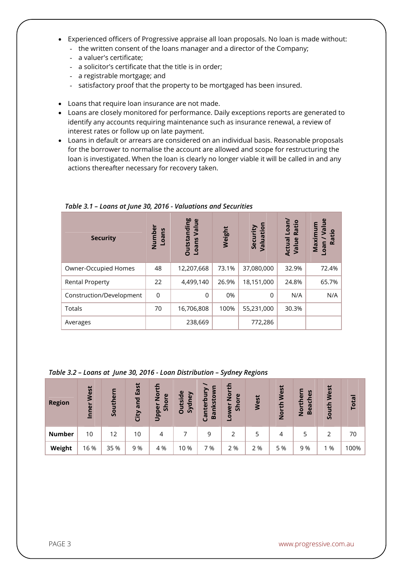- Experienced officers of Progressive appraise all loan proposals. No loan is made without:
	- the written consent of the loans manager and a director of the Company;
	- a valuer's certificate;
	- a solicitor's certificate that the title is in order;
	- a registrable mortgage; and
	- satisfactory proof that the property to be mortgaged has been insured.
- Loans that require loan insurance are not made.
- Loans are closely monitored for performance. Daily exceptions reports are generated to identify any accounts requiring maintenance such as insurance renewal, a review of interest rates or follow up on late payment.
- Loans in default or arrears are considered on an individual basis. Reasonable proposals for the borrower to normalise the account are allowed and scope for restructuring the loan is investigated. When the loan is clearly no longer viable it will be called in and any actions thereafter necessary for recovery taken.

| <b>Security</b>          | Number<br>Loans | <b>Outstanding</b><br>$\omega$<br>Value<br>Loans | Weight | Valuation<br>Security | Loan/<br>Ratio<br>Actual<br>Value | $u$<br>ε<br>Maximu<br>厄<br>Ratio<br>neo |
|--------------------------|-----------------|--------------------------------------------------|--------|-----------------------|-----------------------------------|-----------------------------------------|
| Owner-Occupied Homes     | 48              | 12,207,668                                       | 73.1%  | 37,080,000            | 32.9%                             | 72.4%                                   |
| <b>Rental Property</b>   | 22              | 4,499,140                                        | 26.9%  | 18,151,000            | 24.8%                             | 65.7%                                   |
| Construction/Development | $\overline{0}$  | $\Omega$                                         | 0%     | $\Omega$              | N/A                               | N/A                                     |
| Totals                   | 70              | 16,706,808                                       | 100%   | 55,231,000            | 30.3%                             |                                         |
| Averages                 |                 | 238,669                                          |        | 772,286               |                                   |                                         |

*Table 3.1 – Loans at June 30, 2016 - Valuations and Securities*

#### *Table 3.2 – Loans at June 30, 2016 - Loan Distribution – Sydney Regions*

| <b>Region</b> | West<br>Inner | Southern | East<br>and<br>City | ÷<br>$\overline{5}$<br>$\omega$<br>ā<br>$\overline{5}$<br>້ ຍ<br><b>Dapp</b> | utside<br>Sydney<br>O | Bankstow<br>bur<br>Canter | <b>North</b><br>$\mathbf{\omega}$<br>$\overline{5}$<br>Š۶<br>Lower | West | North West | $\boldsymbol{v}$<br>$\omega$<br>$\mathbf{v}$<br>Ē<br>$\mathbf\omega$<br>ت<br>Bea<br><b>Nort</b> | West<br>uth<br><u>s</u> | <b>Total</b> |
|---------------|---------------|----------|---------------------|------------------------------------------------------------------------------|-----------------------|---------------------------|--------------------------------------------------------------------|------|------------|-------------------------------------------------------------------------------------------------|-------------------------|--------------|
| <b>Number</b> | 10            | 12       | 10                  | 4                                                                            |                       | 9                         |                                                                    | 5    | 4          | 5                                                                                               | 2                       | 70           |
| Weight        | 16 %          | 35 %     | 9%                  | 4 %                                                                          | 10 %                  | 7 %                       | 2 %                                                                | 2 %  | 5 %        | 9 %                                                                                             | %                       | 100%         |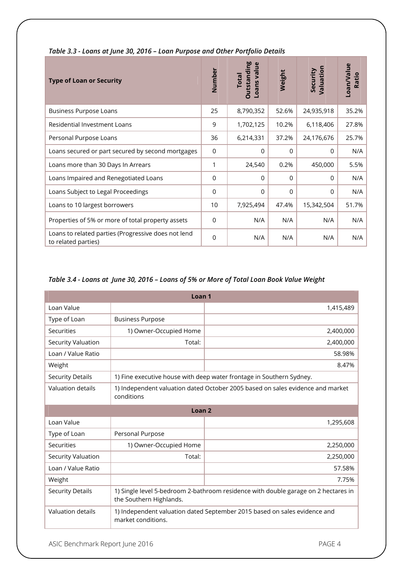| <b>Type of Loan or Security</b>                                            | Number      | <b>Outstanding</b><br>Loans value<br><b>Total</b> | Weight   | Valuation<br>Security | Loan/Value<br>Ratio |
|----------------------------------------------------------------------------|-------------|---------------------------------------------------|----------|-----------------------|---------------------|
| <b>Business Purpose Loans</b>                                              | 25          | 8,790,352                                         | 52.6%    | 24,935,918            | 35.2%               |
| <b>Residential Investment Loans</b>                                        | 9           | 1,702,125                                         | 10.2%    | 6,118,406             | 27.8%               |
| Personal Purpose Loans                                                     | 36          | 6,214,331                                         | 37.2%    | 24,176,676            | 25.7%               |
| Loans secured or part secured by second mortgages                          | 0           | $\mathbf 0$                                       | $\Omega$ | $\Omega$              | N/A                 |
| Loans more than 30 Days In Arrears                                         | 1           | 24,540                                            | 0.2%     | 450,000               | 5.5%                |
| Loans Impaired and Renegotiated Loans                                      | $\mathbf 0$ | $\mathbf 0$                                       | $\Omega$ | $\Omega$              | N/A                 |
| Loans Subject to Legal Proceedings                                         | 0           | $\Omega$                                          | $\Omega$ | $\Omega$              | N/A                 |
| Loans to 10 largest borrowers                                              | 10          | 7,925,494                                         | 47.4%    | 15,342,504            | 51.7%               |
| Properties of 5% or more of total property assets                          | 0           | N/A                                               | N/A      | N/A                   | N/A                 |
| Loans to related parties (Progressive does not lend<br>to related parties) | 0           | N/A                                               | N/A      | N/A                   | N/A                 |

#### *Table 3.3 - Loans at June 30, 2016 – Loan Purpose and Other Portfolio Details*

#### *Table 3.4 - Loans at June 30, 2016 – Loans of 5% or More of Total Loan Book Value Weight*

| Loan <sub>1</sub>       |                                                                                                               |                                                                      |  |  |  |
|-------------------------|---------------------------------------------------------------------------------------------------------------|----------------------------------------------------------------------|--|--|--|
| Loan Value              |                                                                                                               | 1,415,489                                                            |  |  |  |
| Type of Loan            | <b>Business Purpose</b>                                                                                       |                                                                      |  |  |  |
| Securities              | 1) Owner-Occupied Home                                                                                        | 2,400,000                                                            |  |  |  |
| Security Valuation      | Total:                                                                                                        | 2,400,000                                                            |  |  |  |
| Loan / Value Ratio      |                                                                                                               | 58.98%                                                               |  |  |  |
| Weight                  |                                                                                                               | 8.47%                                                                |  |  |  |
| <b>Security Details</b> |                                                                                                               | 1) Fine executive house with deep water frontage in Southern Sydney. |  |  |  |
| Valuation details       | 1) Independent valuation dated October 2005 based on sales evidence and market<br>conditions                  |                                                                      |  |  |  |
| Loan <sub>2</sub>       |                                                                                                               |                                                                      |  |  |  |
| Loan Value              |                                                                                                               | 1,295,608                                                            |  |  |  |
| Type of Loan            | Personal Purpose                                                                                              |                                                                      |  |  |  |
| Securities              | 1) Owner-Occupied Home                                                                                        | 2,250,000                                                            |  |  |  |
| Security Valuation      | Total:                                                                                                        | 2,250,000                                                            |  |  |  |
| Loan / Value Ratio      |                                                                                                               | 57.58%                                                               |  |  |  |
| Weight                  |                                                                                                               | 7.75%                                                                |  |  |  |
| <b>Security Details</b> | 1) Single level 5-bedroom 2-bathroom residence with double garage on 2 hectares in<br>the Southern Highlands. |                                                                      |  |  |  |
| Valuation details       | 1) Independent valuation dated September 2015 based on sales evidence and<br>market conditions.               |                                                                      |  |  |  |